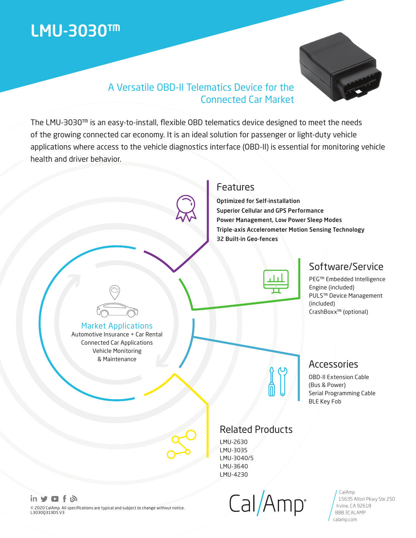# LMU-3030™



# A Versatile OBD-II Telematics Device for the Connected Car Market

The LMU-3030™ is an easy-to-install, flexible OBD telematics device designed to meet the needs of the growing connected car economy. It is an ideal solution for passenger or light-duty vehicle applications where access to the vehicle diagnostics interface (OBD-II) is essential for monitoring vehicle health and driver behavior.